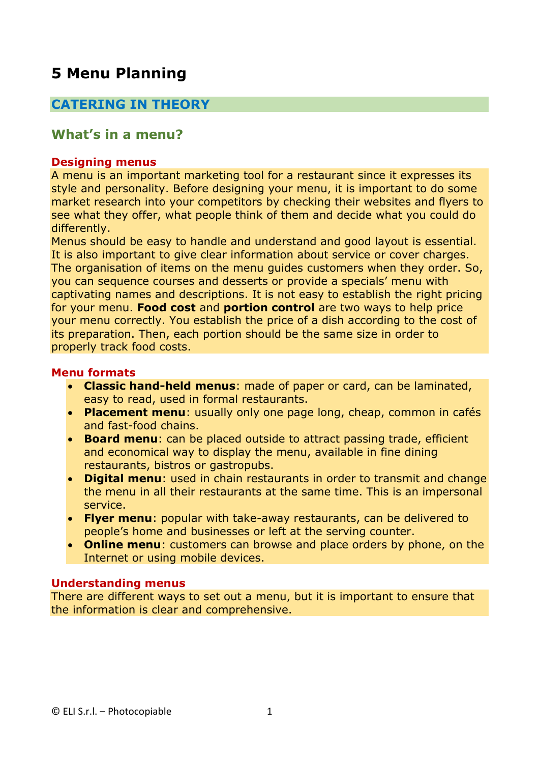# **5 Menu Planning**

## **CATERING IN THEORY**

## **What's in a menu?**

#### **Designing menus**

A menu is an important marketing tool for a restaurant since it expresses its style and personality. Before designing your menu, it is important to do some market research into your competitors by checking their websites and flyers to see what they offer, what people think of them and decide what you could do differently.

Menus should be easy to handle and understand and good layout is essential. It is also important to give clear information about service or cover charges. The organisation of items on the menu guides customers when they order. So, you can sequence courses and desserts or provide a specials' menu with captivating names and descriptions. It is not easy to establish the right pricing for your menu. **Food cost** and **portion control** are two ways to help price your menu correctly. You establish the price of a dish according to the cost of its preparation. Then, each portion should be the same size in order to properly track food costs.

### **Menu formats**

- **Classic hand-held menus**: made of paper or card, can be laminated, easy to read, used in formal restaurants.
- **Placement menu**: usually only one page long, cheap, common in cafés and fast-food chains.
- **Board menu**: can be placed outside to attract passing trade, efficient and economical way to display the menu, available in fine dining restaurants, bistros or gastropubs.
- **Digital menu**: used in chain restaurants in order to transmit and change the menu in all their restaurants at the same time. This is an impersonal service.
- **Flyer menu**: popular with take-away restaurants, can be delivered to people's home and businesses or left at the serving counter.
- **Online menu**: customers can browse and place orders by phone, on the Internet or using mobile devices.

#### **Understanding menus**

There are different ways to set out a menu, but it is important to ensure that the information is clear and comprehensive.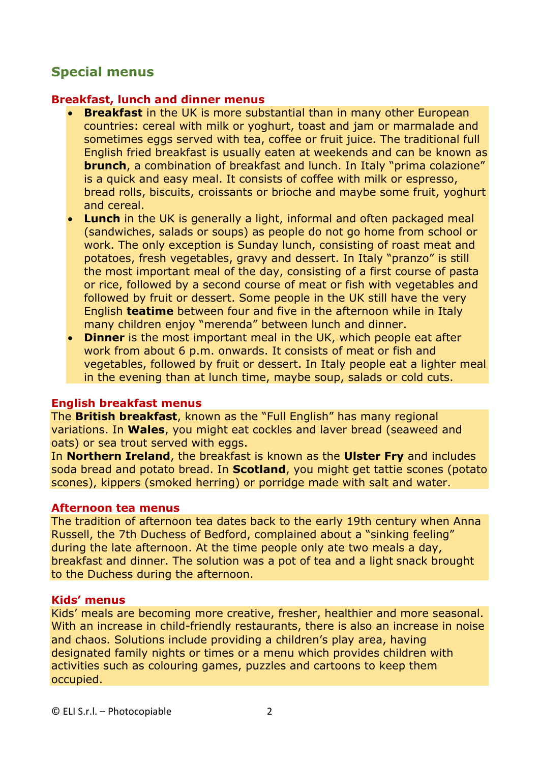## **Special menus**

### **Breakfast, lunch and dinner menus**

- **Breakfast** in the UK is more substantial than in many other European countries: cereal with milk or yoghurt, toast and jam or marmalade and sometimes eggs served with tea, coffee or fruit juice. The traditional full English fried breakfast is usually eaten at weekends and can be known as **brunch**, a combination of breakfast and lunch. In Italy "prima colazione" is a quick and easy meal. It consists of coffee with milk or espresso, bread rolls, biscuits, croissants or brioche and maybe some fruit, yoghurt and cereal.
- **Lunch** in the UK is generally a light, informal and often packaged meal (sandwiches, salads or soups) as people do not go home from school or work. The only exception is Sunday lunch, consisting of roast meat and potatoes, fresh vegetables, gravy and dessert. In Italy "pranzo" is still the most important meal of the day, consisting of a first course of pasta or rice, followed by a second course of meat or fish with vegetables and followed by fruit or dessert. Some people in the UK still have the very English **teatime** between four and five in the afternoon while in Italy many children enjoy "merenda" between lunch and dinner.
- **Dinner** is the most important meal in the UK, which people eat after work from about 6 p.m. onwards. It consists of meat or fish and vegetables, followed by fruit or dessert. In Italy people eat a lighter meal in the evening than at lunch time, maybe soup, salads or cold cuts.

#### **English breakfast menus**

The **British breakfast**, known as the "Full English" has many regional variations. In **Wales**, you might eat cockles and laver bread (seaweed and oats) or sea trout served with eggs.

In **Northern Ireland**, the breakfast is known as the **Ulster Fry** and includes soda bread and potato bread. In **Scotland**, you might get tattie scones (potato scones), kippers (smoked herring) or porridge made with salt and water.

#### **Afternoon tea menus**

The tradition of afternoon tea dates back to the early 19th century when Anna Russell, the 7th Duchess of Bedford, complained about a "sinking feeling" during the late afternoon. At the time people only ate two meals a day, breakfast and dinner. The solution was a pot of tea and a light snack brought to the Duchess during the afternoon.

### **Kids' menus**

Kids' meals are becoming more creative, fresher, healthier and more seasonal. With an increase in child-friendly restaurants, there is also an increase in noise and chaos. Solutions include providing a children's play area, having designated family nights or times or a menu which provides children with activities such as colouring games, puzzles and cartoons to keep them occupied.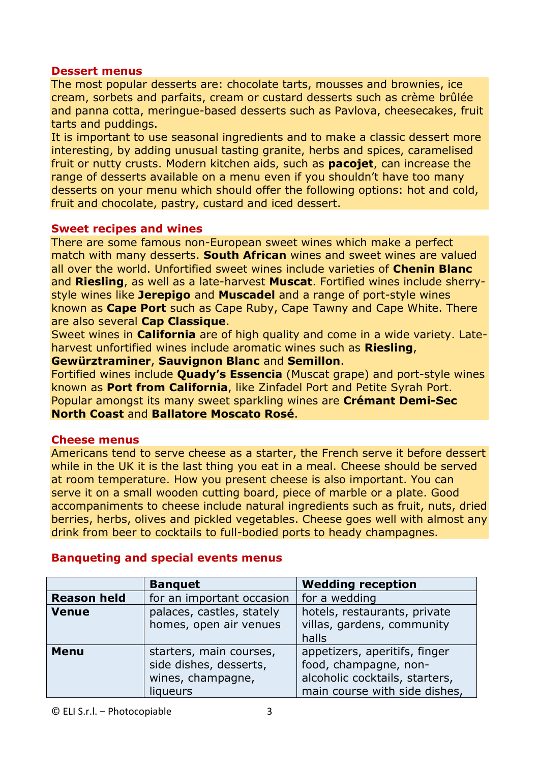#### **Dessert menus**

The most popular desserts are: chocolate tarts, mousses and brownies, ice cream, sorbets and parfaits, cream or custard desserts such as crème brûlée and panna cotta, meringue-based desserts such as Pavlova, cheesecakes, fruit tarts and puddings.

It is important to use seasonal ingredients and to make a classic dessert more interesting, by adding unusual tasting granite, herbs and spices, caramelised fruit or nutty crusts. Modern kitchen aids, such as **pacojet**, can increase the range of desserts available on a menu even if you shouldn't have too many desserts on your menu which should offer the following options: hot and cold, fruit and chocolate, pastry, custard and iced dessert.

### **Sweet recipes and wines**

There are some famous non-European sweet wines which make a perfect match with many desserts. **South African** wines and sweet wines are valued all over the world. Unfortified sweet wines include varieties of **Chenin Blanc** and **Riesling**, as well as a late-harvest **Muscat**. Fortified wines include sherrystyle wines like **Jerepigo** and **Muscadel** and a range of port-style wines known as **Cape Port** such as Cape Ruby, Cape Tawny and Cape White. There are also several **Cap Classique**.

Sweet wines in **California** are of high quality and come in a wide variety. Lateharvest unfortified wines include aromatic wines such as **Riesling**,

**Gewürztraminer**, **Sauvignon Blanc** and **Semillon**.

Fortified wines include **Quady's Essencia** (Muscat grape) and port-style wines known as **Port from California**, like Zinfadel Port and Petite Syrah Port. Popular amongst its many sweet sparkling wines are **Crémant Demi-Sec North Coast** and **Ballatore Moscato Rosé**.

## **Cheese menus**

Americans tend to serve cheese as a starter, the French serve it before dessert while in the UK it is the last thing you eat in a meal. Cheese should be served at room temperature. How you present cheese is also important. You can serve it on a small wooden cutting board, piece of marble or a plate. Good accompaniments to cheese include natural ingredients such as fruit, nuts, dried berries, herbs, olives and pickled vegetables. Cheese goes well with almost any drink from beer to cocktails to full-bodied ports to heady champagnes.

|                    | <b>Banquet</b>            | <b>Wedding reception</b>       |
|--------------------|---------------------------|--------------------------------|
| <b>Reason held</b> | for an important occasion | for a wedding                  |
| <b>Venue</b>       | palaces, castles, stately | hotels, restaurants, private   |
|                    | homes, open air venues    | villas, gardens, community     |
|                    |                           | halls                          |
| <b>Menu</b>        | starters, main courses,   | appetizers, aperitifs, finger  |
|                    | side dishes, desserts,    | food, champagne, non-          |
|                    | wines, champagne,         | alcoholic cocktails, starters, |
|                    | liqueurs                  | main course with side dishes,  |

## **Banqueting and special events menus**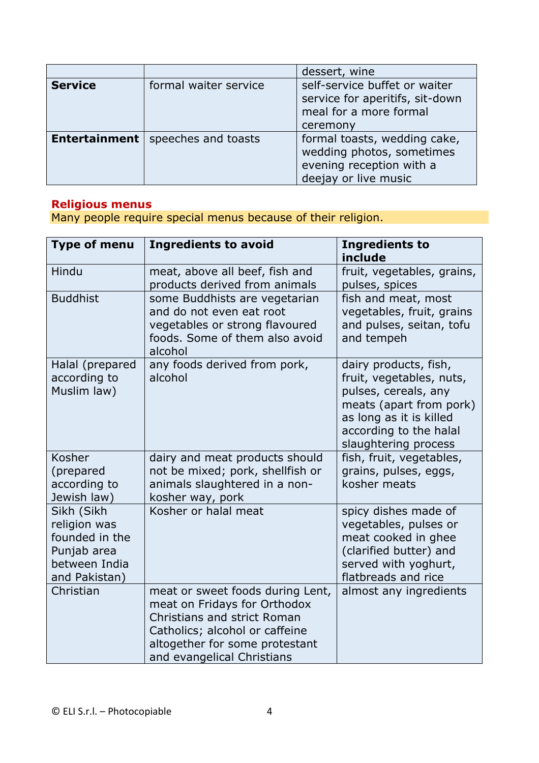|                      |                       | dessert, wine                                                                                                 |
|----------------------|-----------------------|---------------------------------------------------------------------------------------------------------------|
| <b>Service</b>       | formal waiter service | self-service buffet or waiter<br>service for aperitifs, sit-down<br>meal for a more formal<br>ceremony        |
| <b>Entertainment</b> | speeches and toasts   | formal toasts, wedding cake,<br>wedding photos, sometimes<br>evening reception with a<br>deejay or live music |

## **Religious menus**

Many people require special menus because of their religion.

| <b>Type of menu</b>                                                                           | <b>Ingredients to avoid</b>                                                                                                                                                                       | <b>Ingredients to</b><br>include                                                                                                                                                  |
|-----------------------------------------------------------------------------------------------|---------------------------------------------------------------------------------------------------------------------------------------------------------------------------------------------------|-----------------------------------------------------------------------------------------------------------------------------------------------------------------------------------|
| Hindu                                                                                         | meat, above all beef, fish and<br>products derived from animals                                                                                                                                   | fruit, vegetables, grains,<br>pulses, spices                                                                                                                                      |
| <b>Buddhist</b>                                                                               | some Buddhists are vegetarian<br>and do not even eat root<br>vegetables or strong flavoured<br>foods. Some of them also avoid<br>alcohol                                                          | fish and meat, most<br>vegetables, fruit, grains<br>and pulses, seitan, tofu<br>and tempeh                                                                                        |
| Halal (prepared<br>according to<br>Muslim law)                                                | any foods derived from pork,<br>alcohol                                                                                                                                                           | dairy products, fish,<br>fruit, vegetables, nuts,<br>pulses, cereals, any<br>meats (apart from pork)<br>as long as it is killed<br>according to the halal<br>slaughtering process |
| Kosher<br>(prepared<br>according to<br>Jewish law)                                            | dairy and meat products should<br>not be mixed; pork, shellfish or<br>animals slaughtered in a non-<br>kosher way, pork                                                                           | fish, fruit, vegetables,<br>grains, pulses, eggs,<br>kosher meats                                                                                                                 |
| Sikh (Sikh<br>religion was<br>founded in the<br>Punjab area<br>between India<br>and Pakistan) | Kosher or halal meat                                                                                                                                                                              | spicy dishes made of<br>vegetables, pulses or<br>meat cooked in ghee<br>(clarified butter) and<br>served with yoghurt,<br>flatbreads and rice                                     |
| Christian                                                                                     | meat or sweet foods during Lent,<br>meat on Fridays for Orthodox<br>Christians and strict Roman<br>Catholics; alcohol or caffeine<br>altogether for some protestant<br>and evangelical Christians | almost any ingredients                                                                                                                                                            |